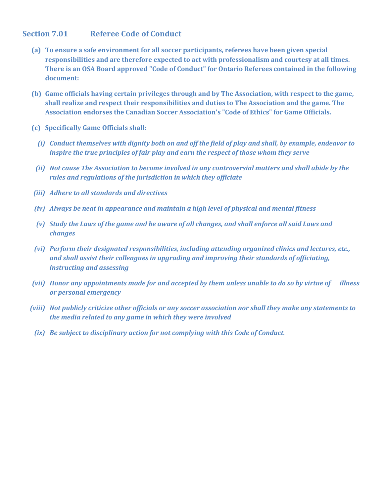## **Section 7.01 Referee Code of Conduct**

- **(a) To ensure a safe environment for all soccer participants, referees have been given special responsibilities and are therefore expected to act with professionalism and courtesy at all times. There is an OSA Board approved "Code of Conduct" for Ontario Referees contained in the following document:**
- **(b) Game officials having certain privileges through and by The Association, with respect to the game, shall realize and respect their responsibilities and duties to The Association and the game. The Association endorses the Canadian Soccer Association's "Code of Ethics" for Game Officials.**
- **(c) Specifically Game Officials shall:**
	- *(i) Conduct themselves with dignity both on and off the field of play and shall, by example, endeavor to inspire the true principles of fair play and earn the respect of those whom they serve*
	- *(ii) Not cause The Association to become involved in any controversial matters and shall abide by the rules and regulations of the jurisdiction in which they officiate*
- *(iii) Adhere to all standards and directives*
- *(iv) Always be neat in appearance and maintain a high level of physical and mental fitness*
- *(v) Study the Laws of the game and be aware of all changes, and shall enforce all said Laws and changes*
- *(vi) Perform their designated responsibilities, including attending organized clinics and lectures, etc., and shall assist their colleagues in upgrading and improving their standards of officiating, instructing and assessing*
- *(vii) Honor any appointments made for and accepted by them unless unable to do so by virtue of illness or personal emergency*
- *(viii) Not publicly criticize other officials or any soccer association nor shall they make any statements to the media related to any game in which they were involved*
	- *(ix) Be subject to disciplinary action for not complying with this Code of Conduct.*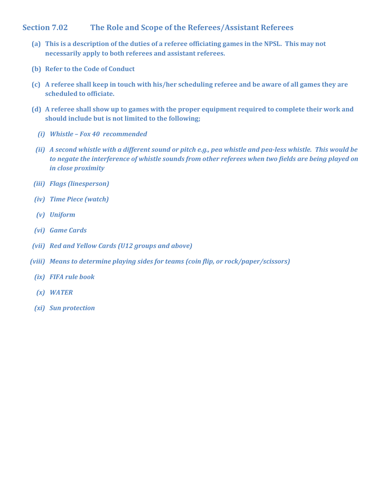## **Section 7.02 The Role and Scope of the Referees/Assistant Referees**

- **(a) This is a description of the duties of a referee officiating games in the NPSL. This may not necessarily apply to both referees and assistant referees.**
- **(b) Refer to the Code of Conduct**
- **(c) A referee shall keep in touch with his/her scheduling referee and be aware of all games they are scheduled to officiate.**
- **(d) A referee shall show up to games with the proper equipment required to complete their work and should include but is not limited to the following;**
	- *(i) Whistle – Fox 40 recommended*
- *(ii) A second whistle with a different sound or pitch e.g., pea whistle and pea-less whistle. This would be to negate the interference of whistle sounds from other referees when two fields are being played on in close proximity*
- *(iii) Flags (linesperson)*
- *(iv) Time Piece (watch)*
- *(v) Uniform*
- *(vi) Game Cards*
- *(vii) Red and Yellow Cards (U12 groups and above)*
- *(viii) Means to determine playing sides for teams (coin flip, or rock/paper/scissors)*
	- *(ix) FIFA rule book*
	- *(x) WATER*
	- *(xi) Sun protection*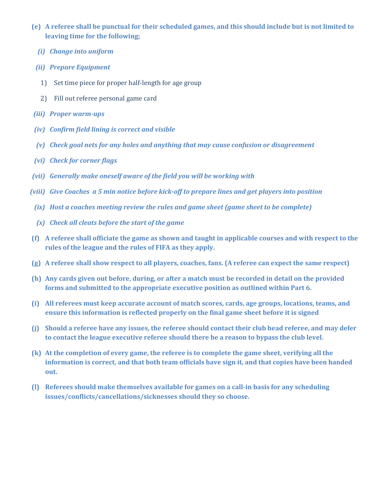- **(e) A referee shall be punctual for their scheduled games, and this should include but is not limited to leaving time for the following;**
	- *(i) Change into uniform*
- *(ii) Prepare Equipment*
	- 1) Set time piece for proper half-length for age group
	- 2) Fill out referee personal game card
- *(iii) Proper warm-ups*
- *(iv) Confirm field lining is correct and visible*
- *(v) Check goal nets for any holes and anything that may cause confusion or disagreement*
- *(vi) Check for corner flags*
- *(vii) Generally make oneself aware of the field you will be working with*
- *(viii) Give Coaches a 5 min notice before kick-off to prepare lines and get players into position*
- *(ix) Host a coaches meeting review the rules and game sheet (game sheet to be complete)*
- *(x) Check all cleats before the start of the game*
- **(f) A referee shall officiate the game as shown and taught in applicable courses and with respect to the rules of the league and the rules of FIFA as they apply.**
- **(g) A referee shall show respect to all players, coaches, fans. (A referee can expect the same respect)**
- **(h) Any cards given out before, during, or after a match must be recorded in detail on the provided forms and submitted to the appropriate executive position as outlined within Part 6.**
- **(i) All referees must keep accurate account of match scores, cards, age groups, locations, teams, and ensure this information is reflected properly on the final game sheet before it is signed**
- **(j) Should a referee have any issues, the referee should contact their club head referee, and may defer to contact the league executive referee should there be a reason to bypass the club level.**
- **(k) At the completion of every game, the referee is to complete the game sheet, verifying all the information is correct, and that both team officials have sign it, and that copies have been handed out.**
- **(l) Referees should make themselves available for games on a call-in basis for any scheduling issues/conflicts/cancellations/sicknesses should they so choose.**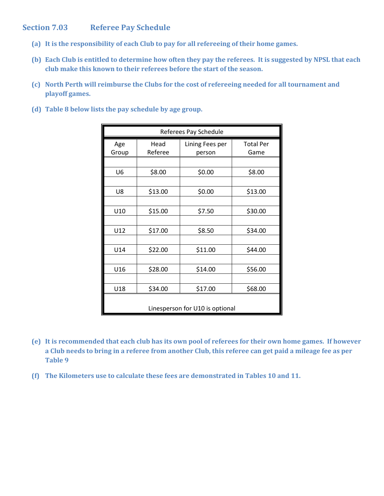# **Section 7.03 Referee Pay Schedule**

- **(a) It is the responsibility of each Club to pay for all refereeing of their home games.**
- **(b) Each Club is entitled to determine how often they pay the referees. It is suggested by NPSL that each club make this known to their referees before the start of the season.**
- **(c) North Perth will reimburse the Clubs for the cost of refereeing needed for all tournament and playoff games.**
- **(d) Table 8 below lists the pay schedule by age group.**

| Referees Pay Schedule |                                 |         |                  |  |
|-----------------------|---------------------------------|---------|------------------|--|
| Age                   | Head<br>Lining Fees per         |         | <b>Total Per</b> |  |
| Group                 | Referee                         | person  | Game             |  |
|                       |                                 |         |                  |  |
| U <sub>6</sub>        | \$8.00                          | \$0.00  | \$8.00           |  |
|                       |                                 |         |                  |  |
| U8                    | \$13.00                         | \$0.00  | \$13.00          |  |
|                       |                                 |         |                  |  |
| U10                   | \$15.00                         | \$7.50  | \$30.00          |  |
|                       |                                 |         |                  |  |
| U12                   | \$17.00                         | \$8.50  | \$34.00          |  |
|                       |                                 |         |                  |  |
| U14                   | \$22.00                         | \$11.00 | \$44.00          |  |
|                       |                                 |         |                  |  |
| U16                   | \$28.00                         | \$14.00 | \$56.00          |  |
|                       |                                 |         |                  |  |
| U18                   | \$34.00                         | \$17.00 | \$68.00          |  |
|                       | Linesperson for U10 is optional |         |                  |  |

- **(e) It is recommended that each club has its own pool of referees for their own home games. If however a Club needs to bring in a referee from another Club, this referee can get paid a mileage fee as per Table 9**
- **(f) The Kilometers use to calculate these fees are demonstrated in Tables 10 and 11.**